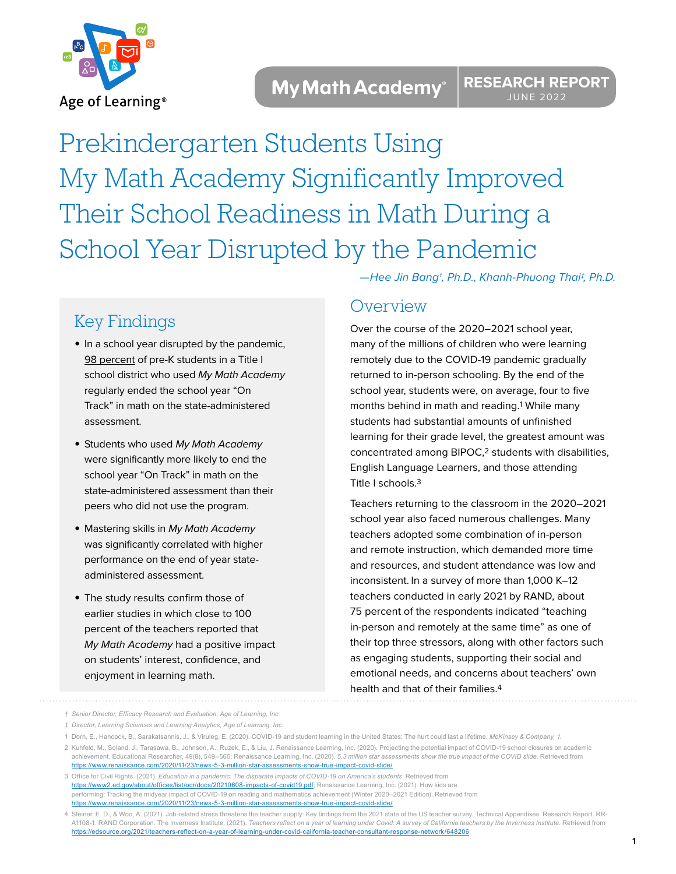

Prekindergarten Students Using My Math Academy Significantly Improved Their School Readiness in Math During a School Year Disrupted by the Pandemic

# Key Findings

- **•** In a school year disrupted by the pandemic, 98 percent of pre-K students in a Title I school district who used My Math Academy regularly ended the school year "On Track" in math on the state-administered assessment.
- **•** Students who used My Math Academy were significantly more likely to end the school year "On Track" in math on the state-administered assessment than their peers who did not use the program.
- **•** Mastering skills in My Math Academy was significantly correlated with higher performance on the end of year stateadministered assessment.
- **•** The study results confirm those of earlier studies in which close to 100 percent of the teachers reported that My Math Academy had a positive impact on students' interest, confidence, and enjoyment in learning math.

—Hee Jin Bang†, Ph.D., Khanh-Phuong Thai‡, Ph.D.

## **Overview**

Over the course of the 2020–2021 school year, many of the millions of children who were learning remotely due to the COVID-19 pandemic gradually returned to in-person schooling. By the end of the school year, students were, on average, four to five months behind in math and reading.1 While many students had substantial amounts of unfinished learning for their grade level, the greatest amount was concentrated among BIPOC,2 students with disabilities, English Language Learners, and those attending Title I schools.3

Teachers returning to the classroom in the 2020–2021 school year also faced numerous challenges. Many teachers adopted some combination of in-person and remote instruction, which demanded more time and resources, and student attendance was low and inconsistent. In a survey of more than 1,000 K–12 teachers conducted in early 2021 by RAND, about 75 percent of the respondents indicated "teaching in-person and remotely at the same time" as one of their top three stressors, along with other factors such as engaging students, supporting their social and emotional needs, and concerns about teachers' own health and that of their families.4

*<sup>†</sup> Senior Director, Efficacy Research and Evaluation, Age of Learning, Inc.* 

*<sup>‡</sup> Director, Learning Sciences and Learning Analytics, Age of Learning, Inc.*

<sup>1</sup> Dorn, E., Hancock, B., Sarakatsannis, J., & Viruleg, E. (2020). COVID-19 and student learning in the United States: The hurt could last a lifetime. *McKinsey & Company, 1*.

<sup>2</sup> Kuhfeld, M., Soland, J., Tarasawa, B., Johnson, A., Ruzek, E., & Liu, J. Renaissance Learning, Inc. (2020). Projecting the potential impact of COVID-19 school closures on academic achievement. Educational Researcher, 49(8), 549–565; Renaissance Learning, Inc. (2020). *5.3 million star assessments show the true impact of the COVID slide.* Retrieved from [https://www.renaissance.com/2020/11/23/news-5-3-million-star-assessments-show-true-impact-covid-slide/](https://www.renaissance.com/2020/11/23/news-5-3-million-star-assessments-show-true-impact-covid-slid)

<sup>3</sup> Office for Civil Rights. (2021). *Education in a pandemic: The disparate impacts of COVID-19 on America's students*. Retrieved from [https://www2.ed.gov/about/offices/list/ocr/docs/20210608-impacts-of-covid19.pdf;](https://www2.ed.gov/about/offices/list/ocr/docs/20210608-impacts-of-covid19.pdf) Renaissance Learning, Inc. (2021). How kids are performing: Tracking the midyear impact of COVID-19 on reading and mathematics achievement (Winter 2020–2021 Edition). Retrieved from [https://www.renaissance.com/2020/11/23/news-5-3-million-star-assessments-show-true-impact-covid-slide/](https://www.renaissance.com/2020/11/23/news-5-3-million-star-assessments-show-true-impact-covid-slid)

<sup>4</sup> Steiner, E. D., & Woo, A. (2021). Job-related stress threatens the teacher supply: Key findings from the 2021 state of the US teacher survey. Technical Appendixes. Research Report. RR-A1108-1. RAND Corporation. The Inverness Institute. (2021). *Teachers reflect on a year of learning under Covid: A survey of California teachers by the Inverness Institute.* Retrieved from [https://edsource.org/2021/teachers-reflect-on-a-year-of-learning-under-covid-california-teacher-consultant-response-network/648206](https://edsource.org/2021/teachers-reflect-on-a-year-of-learning-under-covid-california-teacher-cons);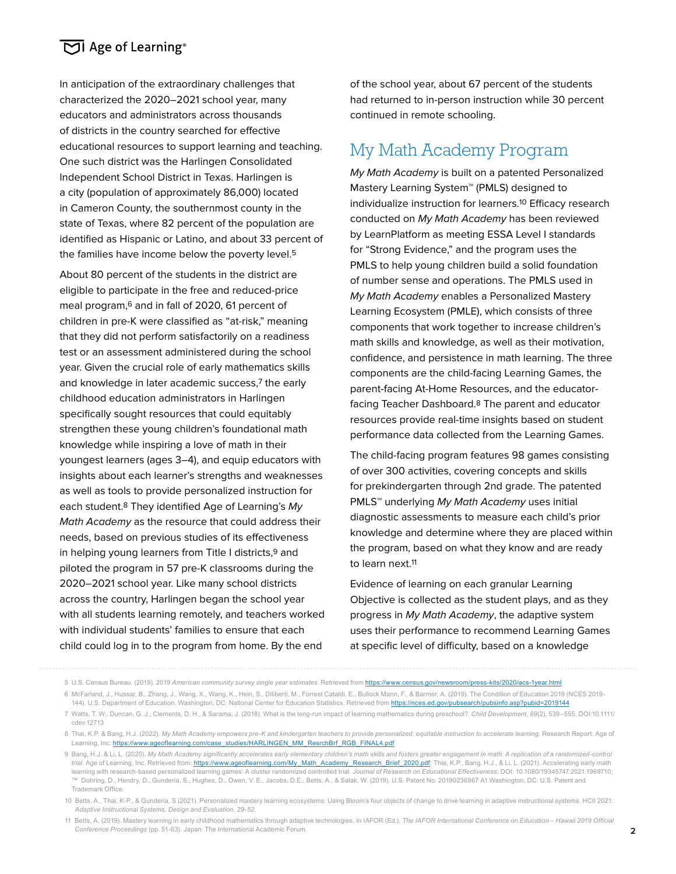### $\overline{C}$  Age of Learning®

In anticipation of the extraordinary challenges that characterized the 2020–2021 school year, many educators and administrators across thousands of districts in the country searched for effective educational resources to support learning and teaching. One such district was the Harlingen Consolidated Independent School District in Texas. Harlingen is a city (population of approximately 86,000) located in Cameron County, the southernmost county in the state of Texas, where 82 percent of the population are identified as Hispanic or Latino, and about 33 percent of the families have income below the poverty level.<sup>5</sup>

About 80 percent of the students in the district are eligible to participate in the free and reduced-price meal program,6 and in fall of 2020, 61 percent of children in pre-K were classified as "at-risk," meaning that they did not perform satisfactorily on a readiness test or an assessment administered during the school year. Given the crucial role of early mathematics skills and knowledge in later academic success,7 the early childhood education administrators in Harlingen specifically sought resources that could equitably strengthen these young children's foundational math knowledge while inspiring a love of math in their youngest learners (ages 3–4), and equip educators with insights about each learner's strengths and weaknesses as well as tools to provide personalized instruction for each student.<sup>8</sup> They identified Age of Learning's My Math Academy as the resource that could address their needs, based on previous studies of its effectiveness in helping young learners from Title I districts,<sup>9</sup> and piloted the program in 57 pre-K classrooms during the 2020–2021 school year. Like many school districts across the country, Harlingen began the school year with all students learning remotely, and teachers worked with individual students' families to ensure that each child could log in to the program from home. By the end

of the school year, about 67 percent of the students had returned to in-person instruction while 30 percent continued in remote schooling.

# My Math Academy Program

My Math Academy is built on a patented Personalized Mastery Learning System™ (PMLS) designed to individualize instruction for learners.10 Efficacy research conducted on My Math Academy has been reviewed by LearnPlatform as meeting ESSA Level I standards for "Strong Evidence," and the program uses the PMLS to help young children build a solid foundation of number sense and operations. The PMLS used in My Math Academy enables a Personalized Mastery Learning Ecosystem (PMLE), which consists of three components that work together to increase children's math skills and knowledge, as well as their motivation, confidence, and persistence in math learning. The three components are the child-facing Learning Games, the parent-facing At-Home Resources, and the educatorfacing Teacher Dashboard.8 The parent and educator resources provide real-time insights based on student performance data collected from the Learning Games.

The child-facing program features 98 games consisting of over 300 activities, covering concepts and skills for prekindergarten through 2nd grade. The patented PMLS<sup>™</sup> underlying My Math Academy uses initial diagnostic assessments to measure each child's prior knowledge and determine where they are placed within the program, based on what they know and are ready to learn next.11

Evidence of learning on each granular Learning Objective is collected as the student plays, and as they progress in My Math Academy, the adaptive system uses their performance to recommend Learning Games at specific level of difficulty, based on a knowledge

<sup>5</sup> U.S. Census Bureau. (2019). 2019 *American community survey single year estimates*. Retrieved from<https://www.census.gov/newsroom/press-kits/2020/acs-1year.html>

<sup>6</sup> McFarland, J., Hussar, B., Zhang, J., Wang, X., Wang, K., Hein, S., Diliberti, M., Forrest Cataldi, E., Bullock Mann, F., & Barmer, A. (2019). The Condition of Education 2019 (NCES 2019- 144). U.S. Department of Education. Washington, DC: National Center for Education Statistics. Retrieved from<https://nces.ed.gov/pubsearch/pubsinfo.asp?pubid=2019144>

<sup>7</sup> Watts, T. W., Duncan, G. J., Clements, D. H., & Sarama, J. (2018). What is the long-run impact of learning mathematics during preschool?. *Child Development, 89*(2), 539–555. DOI:10.1111/ cdev.12713

<sup>8</sup> Thai, K.P. & Bang, H.J. (2022). *My Math Academy empowers pre-K and kindergarten teachers to provide personalized, equitable instruction to accelerate learning.* Research Report. Age of Learning, Inc. [https://www.ageoflearning.com/case\\_studies/HARLINGEN\\_MM\\_ResrchBrf\\_RGB\\_FINAL4.pdf](https://www.ageoflearning.com/case_studies/HARLINGEN_MM_ResrchBrf_RGB_FINAL4.pdf)

<sup>9</sup> Bang, H.J. & Li, L. (2020). *My Math Academy significantly accelerates early elementary children's math skills and fosters greater engagement in math: A replication of a randomized-control*  trial. Age of Learning, Inc. Retrieved from: [https://www.ageoflearning.com/My\\_Math\\_Academy\\_Research\\_Brief\\_2020.pdf;](https://www.ageoflearning.com/My_Math_Academy_Research_Brief_2020.pdf) Thai, K.P., Bang. H.J., & Li, L. (2021). Accelerating early math learning with research-based personalized learning games: A cluster randomized controlled trial. *Journal of Research on Educational Effectiveness.* DOI: 10.1080/19345747.2021.1969710; ™ Dohring, D., Hendry, D., Gunderia, S., Hughes, D., Owen, V. E., Jacobs, D.E., Betts, A., & Salak, W. (2019). U.S. Patent No. 20190236967 A1.Washington, DC: U.S. Patent and Trademark Office.

<sup>10</sup> Betts, A., Thai, K-P., & Gunderia, S (2021). Personalized mastery learning ecosystems: Using Bloom's four objects of change to drive learning in adaptive instructional systems. HCII 2021: *Adaptive Instructional Systems, Design and Evaluation, 29-52.*

<sup>11</sup> Betts, A. (2019). Mastery learning in early childhood mathematics through adaptive technologies. In IAFOR (Ed.). *The IAFOR International Conference on Education – Hawaii 2019 Official Conference Proceedings* (pp. 51-63). Japan: The International Academic Forum.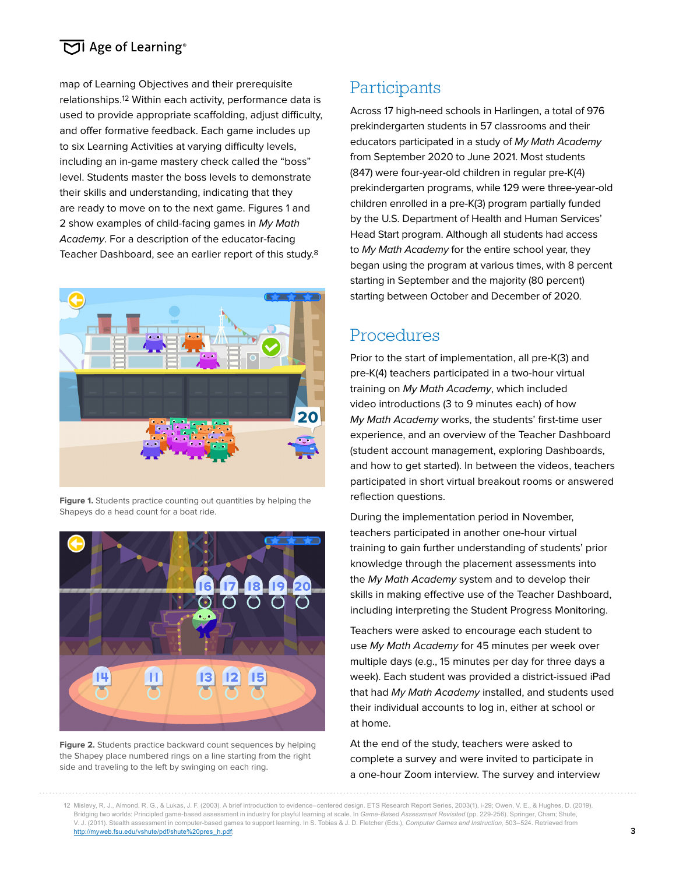### $\boxed{\triangleright}$  Age of Learning®

map of Learning Objectives and their prerequisite relationships.12 Within each activity, performance data is used to provide appropriate scaffolding, adjust difficulty, and offer formative feedback. Each game includes up to six Learning Activities at varying difficulty levels, including an in-game mastery check called the "boss" level. Students master the boss levels to demonstrate their skills and understanding, indicating that they are ready to move on to the next game. Figures 1 and 2 show examples of child-facing games in My Math Academy. For a description of the educator-facing Teacher Dashboard, see an earlier report of this study.8



**Figure 1.** Students practice counting out quantities by helping the Shapeys do a head count for a boat ride.



**Figure 2.** Students practice backward count sequences by helping the Shapey place numbered rings on a line starting from the right side and traveling to the left by swinging on each ring.

## **Participants**

Across 17 high-need schools in Harlingen, a total of 976 prekindergarten students in 57 classrooms and their educators participated in a study of My Math Academy from September 2020 to June 2021. Most students (847) were four-year-old children in regular pre-K(4) prekindergarten programs, while 129 were three-year-old children enrolled in a pre-K(3) program partially funded by the U.S. Department of Health and Human Services' Head Start program. Although all students had access to My Math Academy for the entire school year, they began using the program at various times, with 8 percent starting in September and the majority (80 percent) starting between October and December of 2020.

## Procedures

Prior to the start of implementation, all pre-K(3) and pre-K(4) teachers participated in a two-hour virtual training on My Math Academy, which included video introductions (3 to 9 minutes each) of how My Math Academy works, the students' first-time user experience, and an overview of the Teacher Dashboard (student account management, exploring Dashboards, and how to get started). In between the videos, teachers participated in short virtual breakout rooms or answered reflection questions.

During the implementation period in November, teachers participated in another one-hour virtual training to gain further understanding of students' prior knowledge through the placement assessments into the My Math Academy system and to develop their skills in making effective use of the Teacher Dashboard, including interpreting the Student Progress Monitoring.

Teachers were asked to encourage each student to use My Math Academy for 45 minutes per week over multiple days (e.g., 15 minutes per day for three days a week). Each student was provided a district-issued iPad that had My Math Academy installed, and students used their individual accounts to log in, either at school or at home.

At the end of the study, teachers were asked to complete a survey and were invited to participate in a one-hour Zoom interview. The survey and interview

<sup>12</sup> Mislevy, R. J., Almond, R. G., & Lukas, J. F. (2003). A brief introduction to evidence–centered design. ETS Research Report Series, 2003(1), i-29; Owen, V. E., & Hughes, D. (2019). Bridging two worlds: Principled game-based assessment in industry for playful learning at scale. In *Game-Based Assessment Revisited* (pp. 229-256). Springer, Cham; Shute, V. J. (2011). Stealth assessment in computer-based games to support learning. In S. Tobias & J. D. Fletcher (Eds.), *Computer Games and Instruction,* 503–524. Retrieved from [http://myweb.fsu.edu/vshute/pdf/shute%20pres\\_h.pdf](http://myweb.fsu.edu/vshute/pdf/shute%20pres_h.pdf);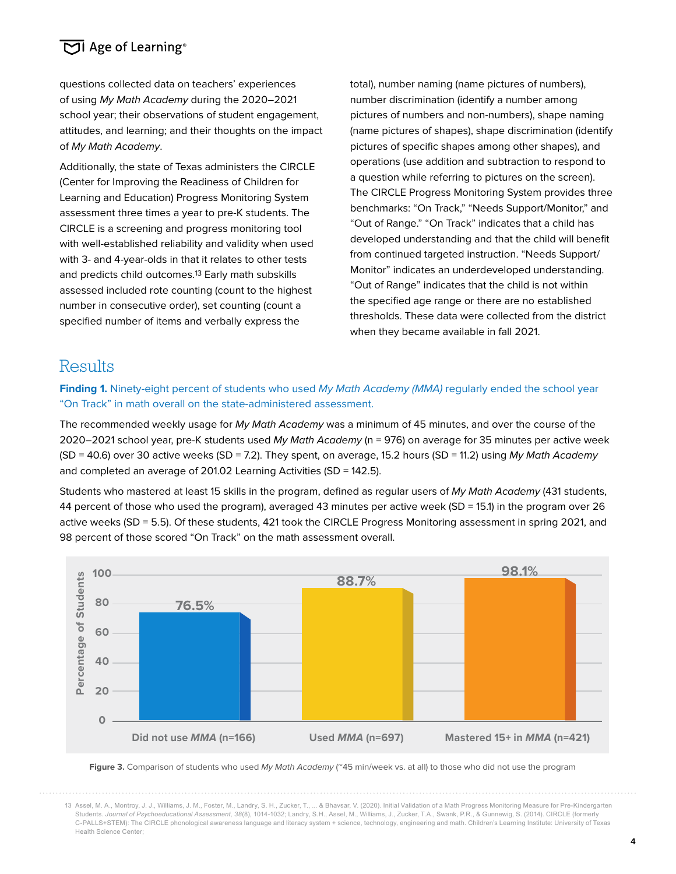### $\boxed{\triangleright}$  Age of Learning®

questions collected data on teachers' experiences of using My Math Academy during the 2020–2021 school year; their observations of student engagement, attitudes, and learning; and their thoughts on the impact of My Math Academy.

Additionally, the state of Texas administers the CIRCLE (Center for Improving the Readiness of Children for Learning and Education) Progress Monitoring System assessment three times a year to pre-K students. The CIRCLE is a screening and progress monitoring tool with well-established reliability and validity when used with 3- and 4-year-olds in that it relates to other tests and predicts child outcomes.13 Early math subskills assessed included rote counting (count to the highest number in consecutive order), set counting (count a specified number of items and verbally express the

total), number naming (name pictures of numbers), number discrimination (identify a number among pictures of numbers and non-numbers), shape naming (name pictures of shapes), shape discrimination (identify pictures of specific shapes among other shapes), and operations (use addition and subtraction to respond to a question while referring to pictures on the screen). The CIRCLE Progress Monitoring System provides three benchmarks: "On Track," "Needs Support/Monitor," and "Out of Range." "On Track" indicates that a child has developed understanding and that the child will benefit from continued targeted instruction. "Needs Support/ Monitor" indicates an underdeveloped understanding. "Out of Range" indicates that the child is not within the specified age range or there are no established thresholds. These data were collected from the district when they became available in fall 2021.

## **Results**

Finding 1. Ninety-eight percent of students who used My Math Academy (MMA) regularly ended the school year "On Track" in math overall on the state-administered assessment.

The recommended weekly usage for My Math Academy was a minimum of 45 minutes, and over the course of the 2020–2021 school year, pre-K students used My Math Academy (n = 976) on average for 35 minutes per active week  $(SD = 40.6)$  over 30 active weeks  $(SD = 7.2)$ . They spent, on average, 15.2 hours  $(SD = 11.2)$  using My Math Academy and completed an average of 201.02 Learning Activities (SD = 142.5).

Students who mastered at least 15 skills in the program, defined as regular users of My Math Academy (431 students, 44 percent of those who used the program), averaged 43 minutes per active week (SD = 15.1) in the program over 26 active weeks (SD = 5.5). Of these students, 421 took the CIRCLE Progress Monitoring assessment in spring 2021, and 98 percent of those scored "On Track" on the math assessment overall.



**Figure 3.** Comparison of students who used My Math Academy (~45 min/week vs. at all) to those who did not use the program

<sup>13</sup> Assel, M. A., Montroy, J. J., Williams, J. M., Foster, M., Landry, S. H., Zucker, T., ... & Bhavsar, V. (2020). Initial Validation of a Math Progress Monitoring Measure for Pre-Kindergarten Students. *Journal of Psychoeducational Assessment, 38*(8), 1014-1032; Landry, S.H., Assel, M., Williams, J., Zucker, T.A., Swank, P.R., & Gunnewig, S. (2014). CIRCLE (formerly C-PALLS+STEM): The CIRCLE phonological awareness language and literacy system + science, technology, engineering and math. Children's Learning Institute: University of Texas Health Science Center;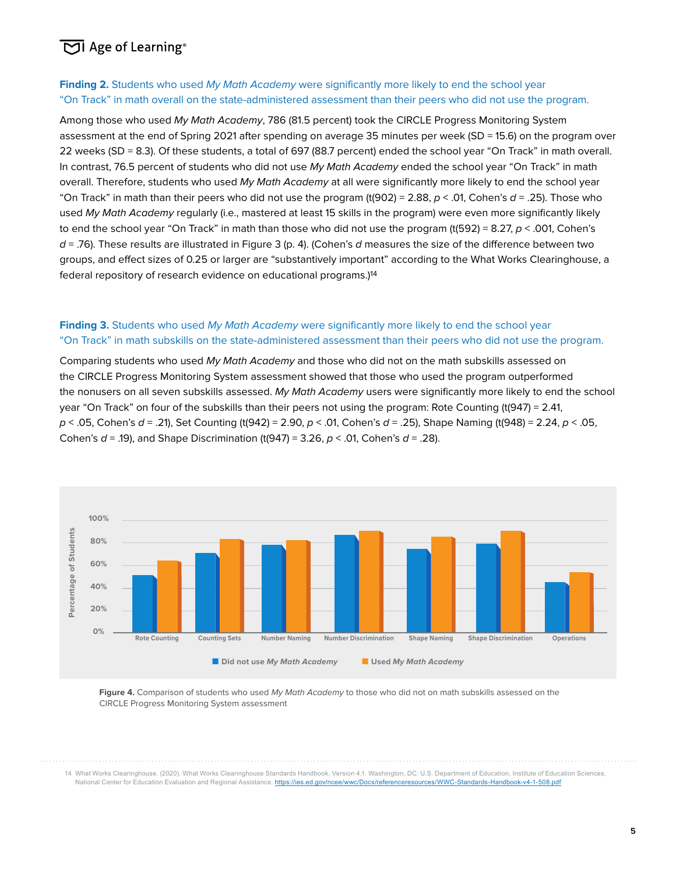## $\overline{\mathrm{CI}}$  Age of Learning®

#### **Finding 2.** Students who used My Math Academy were significantly more likely to end the school year "On Track" in math overall on the state-administered assessment than their peers who did not use the program.

Among those who used My Math Academy, 786 (81.5 percent) took the CIRCLE Progress Monitoring System assessment at the end of Spring 2021 after spending on average 35 minutes per week (SD = 15.6) on the program over 22 weeks (SD = 8.3). Of these students, a total of 697 (88.7 percent) ended the school year "On Track" in math overall. In contrast, 76.5 percent of students who did not use My Math Academy ended the school year "On Track" in math overall. Therefore, students who used My Math Academy at all were significantly more likely to end the school year "On Track" in math than their peers who did not use the program (t(902) = 2.88,  $p < .01$ , Cohen's  $d = .25$ ). Those who used My Math Academy regularly (i.e., mastered at least 15 skills in the program) were even more significantly likely to end the school year "On Track" in math than those who did not use the program (t(592) = 8.27,  $p < .001$ , Cohen's  $d = 0.76$ . These results are illustrated in Figure 3 (p. 4). (Cohen's d measures the size of the difference between two groups, and effect sizes of 0.25 or larger are "substantively important" according to the What Works Clearinghouse, a federal repository of research evidence on educational programs.)14

#### **Finding 3.** Students who used My Math Academy were significantly more likely to end the school year "On Track" in math subskills on the state-administered assessment than their peers who did not use the program.

Comparing students who used My Math Academy and those who did not on the math subskills assessed on the CIRCLE Progress Monitoring System assessment showed that those who used the program outperformed the nonusers on all seven subskills assessed. My Math Academy users were significantly more likely to end the school year "On Track" on four of the subskills than their peers not using the program: Rote Counting (t(947) = 2.41,  $p < .05$ , Cohen's  $d = .21$ , Set Counting (t(942) = 2.90,  $p < .01$ , Cohen's  $d = .25$ ), Shape Naming (t(948) = 2.24,  $p < .05$ , Cohen's  $d = .19$ ), and Shape Discrimination (t(947) = 3.26,  $p < .01$ , Cohen's  $d = .28$ ).



Figure 4. Comparison of students who used My Math Academy to those who did not on math subskills assessed on the CIRCLE Progress Monitoring System assessment

14 What Works Clearinghouse. (2020). What Works Clearinghouse Standards Handbook, Version 4.1. Washington, DC: U.S. Department of Education, Institute of Education Sciences, National Center for Education Evaluation and Regional Assistance. <https://ies.ed.gov/ncee/wwc/Docs/referenceresources/WWC-Standards-Handbook-v4-1-508.pdf>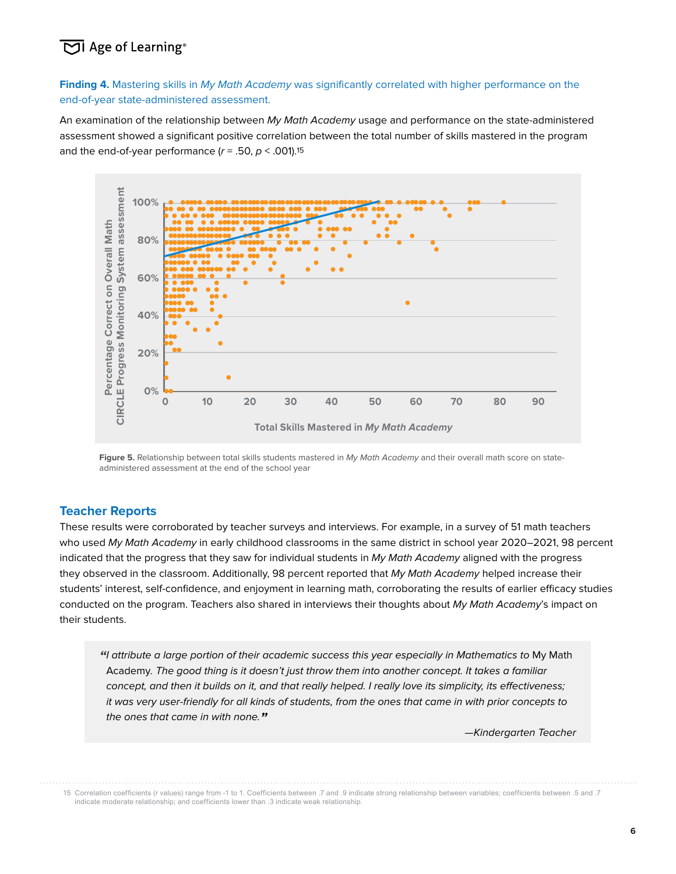## $\overline{\text{CI}}$  Age of Learning®

Finding 4. Mastering skills in My Math Academy was significantly correlated with higher performance on the end-of-year state-administered assessment.

An examination of the relationship between My Math Academy usage and performance on the state-administered assessment showed a significant positive correlation between the total number of skills mastered in the program and the end-of-year performance ( $r = .50$ ,  $p < .001$ ).<sup>15</sup>



Figure 5. Relationship between total skills students mastered in My Math Academy and their overall math score on stateadministered assessment at the end of the school year

#### **Teacher Reports**

These results were corroborated by teacher surveys and interviews. For example, in a survey of 51 math teachers who used My Math Academy in early childhood classrooms in the same district in school year 2020–2021, 98 percent indicated that the progress that they saw for individual students in My Math Academy aligned with the progress they observed in the classroom. Additionally, 98 percent reported that My Math Academy helped increase their students' interest, self-confidence, and enjoyment in learning math, corroborating the results of earlier efficacy studies conducted on the program. Teachers also shared in interviews their thoughts about My Math Academy's impact on their students.

**"**I attribute a large portion of their academic success this year especially in Mathematics to My Math Academy. The good thing is it doesn't just throw them into another concept. It takes a familiar concept, and then it builds on it, and that really helped. I really love its simplicity, its effectiveness; it was very user-friendly for all kinds of students, from the ones that came in with prior concepts to the ones that came in with none.**"**

15 Correlation coefficients (r values) range from -1 to 1. Coefficients between .7 and .9 indicate strong relationship between variables; coefficients between .5 and .7 indicate moderate relationship; and coefficients lower than .3 indicate weak relationship.